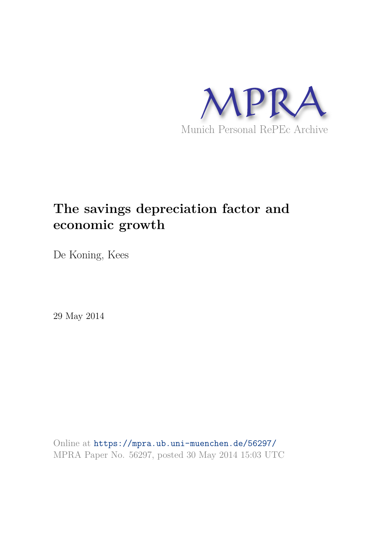

# **The savings depreciation factor and economic growth**

De Koning, Kees

29 May 2014

Online at https://mpra.ub.uni-muenchen.de/56297/ MPRA Paper No. 56297, posted 30 May 2014 15:03 UTC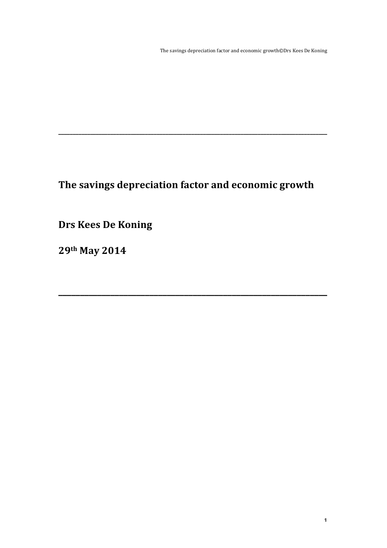The savings depreciation factor and economic growth©Drs Kees De Koning

# The savings depreciation factor and economic growth

**\_\_\_\_\_\_\_\_\_\_\_\_\_\_\_\_\_\_\_\_\_\_\_\_\_\_\_\_\_\_\_\_\_\_\_\_\_\_\_\_\_\_\_\_\_\_\_\_\_\_\_\_\_\_\_\_\_\_\_\_\_\_**

**\_\_\_\_\_\_\_\_\_\_\_\_\_\_\_\_\_\_\_\_\_\_\_\_\_\_\_\_\_\_\_\_\_\_\_\_\_\_\_\_\_\_\_\_\_\_\_\_\_\_\_\_\_\_\_\_\_\_\_\_\_\_\_\_\_\_\_\_\_\_\_\_\_\_\_\_\_\_\_\_\_\_\_\_\_\_\_\_\_\_\_\_\_**

**Drs Kees De Koning** 

**29th May 
 2014**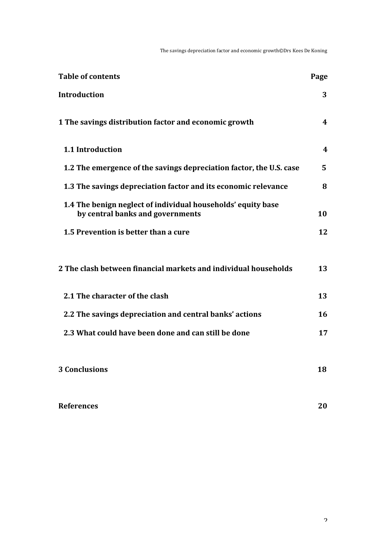The savings depreciation factor and economic growth©Drs Kees De Koning

| <b>Table of contents</b>                                                                         | Page |
|--------------------------------------------------------------------------------------------------|------|
| <b>Introduction</b>                                                                              | 3    |
| 1 The savings distribution factor and economic growth                                            | 4    |
| 1.1 Introduction                                                                                 | 4    |
| 1.2 The emergence of the savings depreciation factor, the U.S. case                              | 5    |
| 1.3 The savings depreciation factor and its economic relevance                                   | 8    |
| 1.4 The benign neglect of individual households' equity base<br>by central banks and governments | 10   |
| 1.5 Prevention is better than a cure                                                             | 12   |
|                                                                                                  |      |
| 2 The clash between financial markets and individual households                                  | 13   |
| 2.1 The character of the clash                                                                   | 13   |
| 2.2 The savings depreciation and central banks' actions                                          | 16   |
| 2.3 What could have been done and can still be done                                              | 17   |
|                                                                                                  |      |
| <b>3 Conclusions</b>                                                                             | 18   |
|                                                                                                  |      |
| <b>References</b>                                                                                | 20   |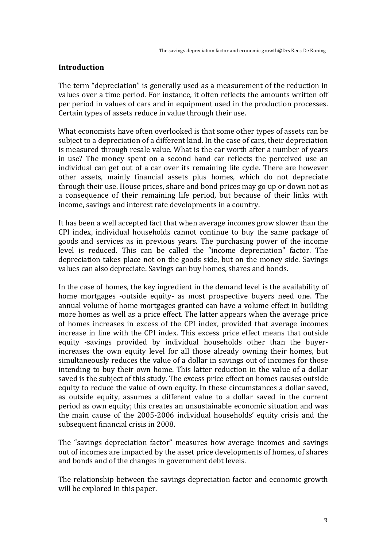# **Introduction**

The term "depreciation" is generally used as a measurement of the reduction in values over a time period. For instance, it often reflects the amounts written off per period in values of cars and in equipment used in the production processes. Certain types of assets reduce in value through their use.

What economists have often overlooked is that some other types of assets can be subject to a depreciation of a different kind. In the case of cars, their depreciation is measured through resale value. What is the car worth after a number of years in use? The money spent on a second hand car reflects the perceived use an individual can get out of a car over its remaining life cycle. There are however other assets, mainly financial assets plus homes, which do not depreciate through their use. House prices, share and bond prices may go up or down not as a consequence of their remaining life period, but because of their links with income, savings and interest rate developments in a country.

It has been a well accepted fact that when average incomes grow slower than the  $CPI$  index, individual households cannot continue to buy the same package of goods and services as in previous years. The purchasing power of the income level is reduced. This can be called the "income depreciation" factor. The depreciation takes place not on the goods side, but on the money side. Savings values can also depreciate. Savings can buy homes, shares and bonds.

In the case of homes, the key ingredient in the demand level is the availability of home mortgages -outside equity- as most prospective buyers need one. The annual volume of home mortgages granted can have a volume effect in building more homes as well as a price effect. The latter appears when the average price of homes increases in excess of the CPI index, provided that average incomes increase in line with the CPI index. This excess price effect means that outside equity -savings provided by individual households other than the buyerincreases the own equity level for all those already owning their homes, but simultaneously reduces the value of a dollar in savings out of incomes for those intending to buy their own home. This latter reduction in the value of a dollar saved is the subject of this study. The excess price effect on homes causes outside equity to reduce the value of own equity. In these circumstances a dollar saved, as outside equity, assumes a different value to a dollar saved in the current period as own equity; this creates an unsustainable economic situation and was the main cause of the 2005-2006 individual households' equity crisis and the subsequent financial crisis in 2008.

The "savings depreciation factor" measures how average incomes and savings out of incomes are impacted by the asset price developments of homes, of shares and bonds and of the changes in government debt levels.

The relationship between the savings depreciation factor and economic growth will be explored in this paper.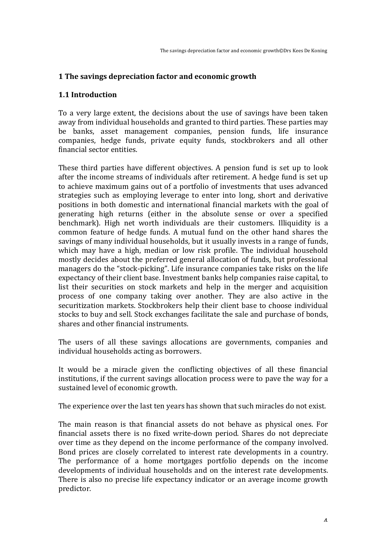# **1** The savings depreciation factor and economic growth

#### **1.1 
 Introduction**

To a very large extent, the decisions about the use of savings have been taken away from individual households and granted to third parties. These parties may be banks, asset management companies, pension funds, life insurance companies, hedge funds, private equity funds, stockbrokers and all other financial sector entities.

These third parties have different objectives. A pension fund is set up to look after the income streams of individuals after retirement. A hedge fund is set up to achieve maximum gains out of a portfolio of investments that uses advanced strategies such as employing leverage to enter into long, short and derivative positions in both domestic and international financial markets with the goal of generating high returns (either in the absolute sense or over a specified benchmark). High net worth individuals are their customers. Illiquidity is a common feature of hedge funds. A mutual fund on the other hand shares the savings of many individual households, but it usually invests in a range of funds, which may have a high, median or low risk profile. The individual household mostly decides about the preferred general allocation of funds, but professional managers do the "stock-picking". Life insurance companies take risks on the life expectancy of their client base. Investment banks help companies raise capital, to list their securities on stock markets and help in the merger and acquisition process of one company taking over another. They are also active in the securitization markets. Stockbrokers help their client base to choose individual stocks to buy and sell. Stock exchanges facilitate the sale and purchase of bonds, shares and other financial instruments.

The users of all these savings allocations are governments, companies and individual households acting as borrowers.

It would be a miracle given the conflicting objectives of all these financial institutions, if the current savings allocation process were to pave the way for a sustained level of economic growth.

The experience over the last ten years has shown that such miracles do not exist.

The main reason is that financial assets do not behave as physical ones. For financial assets there is no fixed write-down period. Shares do not depreciate over time as they depend on the income performance of the company involved. Bond prices are closely correlated to interest rate developments in a country. The performance of a home mortgages portfolio depends on the income developments of individual households and on the interest rate developments. There is also no precise life expectancy indicator or an average income growth predictor.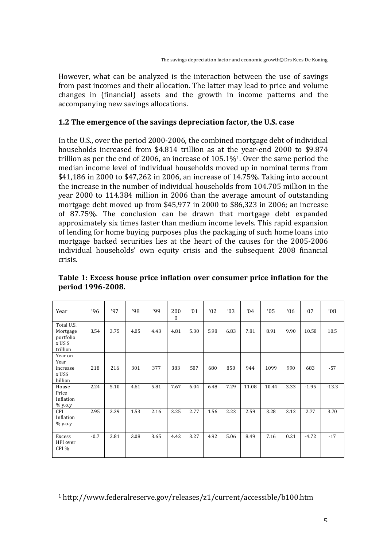However, what can be analyzed is the interaction between the use of savings from past incomes and their allocation. The latter may lead to price and volume changes in (financial) assets and the growth in income patterns and the accompanying new savings allocations.

# **1.2** The emergence of the savings depreciation factor, the U.S. case

In the U.S., over the period 2000-2006, the combined mortgage debt of individual households increased from \$4.814 trillion as at the year-end 2000 to \$9.874 trillion as per the end of 2006, an increase of  $105.1\%$ <sup>1</sup>. Over the same period the median income level of individual households moved up in nominal terms from \$41,186 in 2000 to \$47,262 in 2006, an increase of 14.75%. Taking into account the increase in the number of individual households from 104.705 million in the year 2000 to 114.384 million in 2006 than the average amount of outstanding mortgage debt moved up from \$45,977 in 2000 to \$86,323 in 2006; an increase of 87.75%. The conclusion can be drawn that mortgage debt expanded approximately six times faster than medium income levels. This rapid expansion of lending for home buying purposes plus the packaging of such home loans into mortgage backed securities lies at the heart of the causes for the 2005-2006 individual households' own equity crisis and the subsequent 2008 financial crisis.

| Year                                                                       | 96'    | '97  | 98   | 99'  | 200<br>$\mathbf{0}$ | $^{\prime}01$ | $^{\prime}02$ | 03   | $^{\prime}04$ | $^{\prime}05$ | 06   | 07      | 08'     |
|----------------------------------------------------------------------------|--------|------|------|------|---------------------|---------------|---------------|------|---------------|---------------|------|---------|---------|
| Total U.S.<br>Mortgage<br>portfolio<br>$x$ US $$$<br>trillion              | 3.54   | 3.75 | 4.05 | 4.43 | 4.81                | 5.30          | 5.98          | 6.83 | 7.81          | 8.91          | 9.90 | 10.58   | 10.5    |
| Year on<br>Year<br>increase<br>x US\$<br>billion                           | 218    | 216  | 301  | 377  | 383                 | 507           | 680           | 850  | 944           | 1099          | 990  | 683     | $-57$   |
| House<br>Price<br>Inflation<br>$\frac{96 \text{ y.o.y}}{90 \text{ y.o.y}}$ | 2.24   | 5.10 | 4.61 | 5.81 | 7.67                | 6.04          | 6.48          | 7.29 | 11.08         | 10.44         | 3.33 | $-1.95$ | $-13.3$ |
| CPI<br>Inflation<br>$%$ y.o.y                                              | 2.95   | 2.29 | 1.53 | 2.16 | 3.25                | 2.77          | 1.56          | 2.23 | 2.59          | 3.28          | 3.12 | 2.77    | 3.70    |
| Excess<br>HPI over<br>CPI %                                                | $-0.7$ | 2.81 | 3.08 | 3.65 | 4.42                | 3.27          | 4.92          | 5.06 | 8.49          | 7.16          | 0.21 | $-4.72$ | $-17$   |

Table 1: Excess house price inflation over consumer price inflation for the period 1996-2008.

<sup>1</sup> http://www.federalreserve.gov/releases/z1/current/accessible/b100.htm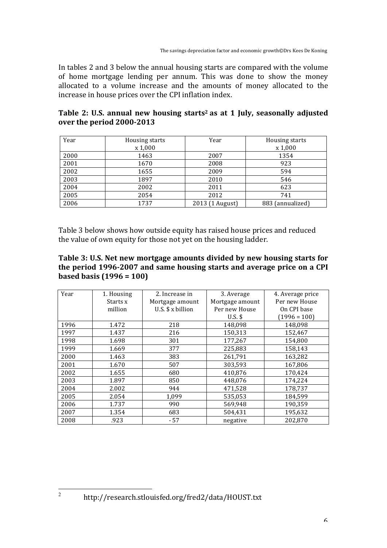In tables 2 and 3 below the annual housing starts are compared with the volume of home mortgage lending per annum. This was done to show the money allocated to a volume increase and the amounts of money allocated to the increase in house prices over the CPI inflation index.

| Table 2: U.S. annual new housing starts <sup>2</sup> as at 1 July, seasonally adjusted |  |
|----------------------------------------------------------------------------------------|--|
| over the period 2000-2013                                                              |  |

| Year | Housing starts<br>x 1,000 | Year            | Housing starts<br>x 1,000 |
|------|---------------------------|-----------------|---------------------------|
| 2000 | 1463                      | 2007            | 1354                      |
| 2001 | 1670                      | 2008            | 923                       |
| 2002 | 1655                      | 2009            | 594                       |
| 2003 | 1897                      | 2010            | 546                       |
| 2004 | 2002                      | 2011            | 623                       |
| 2005 | 2054                      | 2012            | 741                       |
| 2006 | 1737                      | 2013 (1 August) | 883 (annualized)          |

Table 3 below shows how outside equity has raised house prices and reduced the value of own equity for those not yet on the housing ladder.

# Table 3: U.S. Net new mortgage amounts divided by new housing starts for the period 1996-2007 and same housing starts and average price on a CPI **based basis**  $(1996 = 100)$

| Year | 1. Housing | 2. Increase in    | 3. Average      | 4. Average price |
|------|------------|-------------------|-----------------|------------------|
|      | Starts x   | Mortgage amount   | Mortgage amount | Per new House    |
|      | million    | U.S. $$x$ billion | Per new House   | On CPI base      |
|      |            |                   | $U.S.$ \$       | $(1996 = 100)$   |
| 1996 | 1.472      | 218               | 148,098         | 148,098          |
| 1997 | 1.437      | 216               | 150,313         | 152,467          |
| 1998 | 1.698      | 301               | 177,267         | 154,800          |
| 1999 | 1.669      | 377               | 225,883         | 158,143          |
| 2000 | 1.463      | 383               | 261,791         | 163,282          |
| 2001 | 1.670      | 507               | 303,593         | 167,806          |
| 2002 | 1.655      | 680               | 410,876         | 170,424          |
| 2003 | 1.897      | 850               | 448,076         | 174,224          |
| 2004 | 2.002      | 944               | 471.528         | 178.737          |
| 2005 | 2.054      | 1,099             | 535,053         | 184,599          |
| 2006 | 1.737      | 990               | 569,948         | 190,359          |
| 2007 | 1.354      | 683               | 504,431         | 195,632          |
| 2008 | .923       | $-57$             | negative        | 202.870          |

http://research.stlouisfed.org/fred2/data/HOUST.txt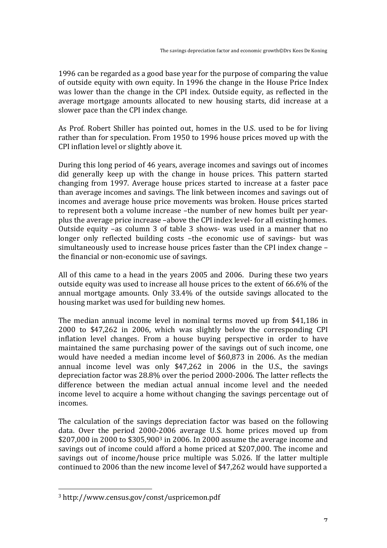1996 can be regarded as a good base year for the purpose of comparing the value of outside equity with own equity. In 1996 the change in the House Price Index was lower than the change in the CPI index. Outside equity, as reflected in the average mortgage amounts allocated to new housing starts, did increase at a slower pace than the CPI index change.

As Prof. Robert Shiller has pointed out, homes in the U.S. used to be for living rather than for speculation. From 1950 to 1996 house prices moved up with the CPI inflation level or slightly above it.

During this long period of 46 years, average incomes and savings out of incomes did generally keep up with the change in house prices. This pattern started changing from 1997. Average house prices started to increase at a faster pace than average incomes and savings. The link between incomes and savings out of incomes and average house price movements was broken. House prices started to represent both a volume increase -the number of new homes built per yearplus the average price increase –above the CPI index level- for all existing homes. Outside equity  $-as$  column 3 of table 3 shows- was used in a manner that no longer only reflected building costs -the economic use of savings- but was simultaneously used to increase house prices faster than the CPI index change – the financial or non-economic use of savings.

All of this came to a head in the years 2005 and 2006. During these two years outside equity was used to increase all house prices to the extent of 66.6% of the annual mortgage amounts. Only 33.4% of the outside savings allocated to the housing market was used for building new homes.

The median annual income level in nominal terms moved up from \$41,186 in 2000 to \$47,262 in 2006, which was slightly below the corresponding CPI inflation level changes. From a house buying perspective in order to have maintained the same purchasing power of the savings out of such income, one would have needed a median income level of \$60,873 in 2006. As the median annual income level was only  $$47,262$  in 2006 in the U.S., the savings depreciation factor was 28.8% over the period 2000-2006. The latter reflects the difference between the median actual annual income level and the needed income level to acquire a home without changing the savings percentage out of incomes. 

The calculation of the savings depreciation factor was based on the following data. Over the period 2000-2006 average U.S. home prices moved up from \$207,000 in 2000 to \$305,900<sup>3</sup> in 2006. In 2000 assume the average income and savings out of income could afford a home priced at \$207,000. The income and savings out of income/house price multiple was 5.026. If the latter multiple continued to 2006 than the new income level of \$47,262 would have supported a

<sup>3</sup> 
 http://www.census.gov/const/uspricemon.pdf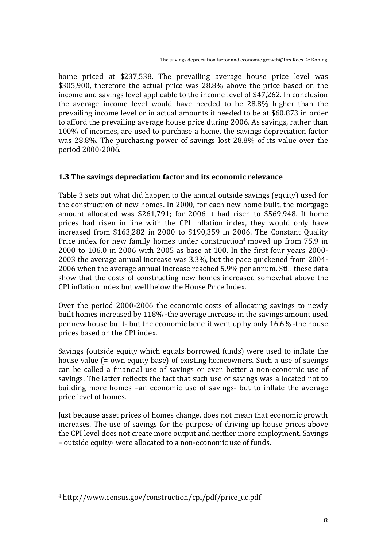home priced at \$237,538. The prevailing average house price level was  $$305,900$ , therefore the actual price was  $28.8\%$  above the price based on the income and savings level applicable to the income level of \$47,262. In conclusion the average income level would have needed to be  $28.8\%$  higher than the prevailing income level or in actual amounts it needed to be at \$60.873 in order to afford the prevailing average house price during 2006. As savings, rather than 100% of incomes, are used to purchase a home, the savings depreciation factor was  $28.8\%$ . The purchasing power of savings lost  $28.8\%$  of its value over the period 2000-2006.

# **1.3** The savings depreciation factor and its economic relevance

Table 3 sets out what did happen to the annual outside savings (equity) used for the construction of new homes. In 2000, for each new home built, the mortgage amount allocated was  $$261,791$ ; for  $2006$  it had risen to  $$569,948$ . If home prices had risen in line with the CPI inflation index, they would only have increased from  $$163,282$  in  $2000$  to  $$190,359$  in  $2006$ . The Constant Ouality Price index for new family homes under construction<sup>4</sup> moved up from 75.9 in  $2000$  to  $106.0$  in  $2006$  with  $2005$  as base at  $100$ . In the first four years  $2000$ -2003 the average annual increase was 3.3%, but the pace quickened from 2004-2006 when the average annual increase reached 5.9% per annum. Still these data show that the costs of constructing new homes increased somewhat above the CPI inflation index but well below the House Price Index.

Over the period  $2000-2006$  the economic costs of allocating savings to newly built homes increased by 118% - the average increase in the savings amount used per new house built- but the economic benefit went up by only 16.6% -the house prices based on the CPI index.

Savings (outside equity which equals borrowed funds) were used to inflate the house value  $f =$  own equity base) of existing homeowners. Such a use of savings can be called a financial use of savings or even better a non-economic use of savings. The latter reflects the fact that such use of savings was allocated not to building more homes -an economic use of savings- but to inflate the average price level of homes.

Just because asset prices of homes change, does not mean that economic growth increases. The use of savings for the purpose of driving up house prices above the CPI level does not create more output and neither more employment. Savings – outside equity- were allocated to a non-economic use of funds.

<sup>4</sup> http://www.census.gov/construction/cpi/pdf/price\_uc.pdf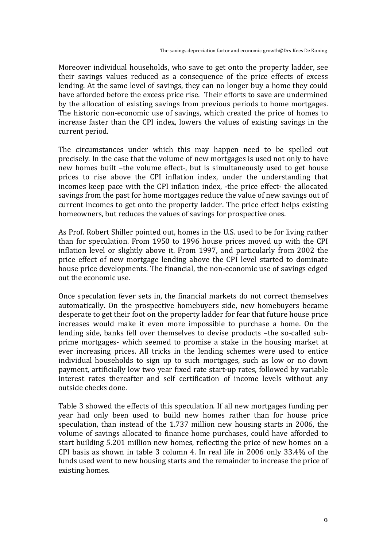Moreover individual households, who save to get onto the property ladder, see their savings values reduced as a consequence of the price effects of excess lending. At the same level of savings, they can no longer buy a home they could have afforded before the excess price rise. Their efforts to save are undermined by the allocation of existing savings from previous periods to home mortgages. The historic non-economic use of savings, which created the price of homes to increase faster than the CPI index, lowers the values of existing savings in the current period.

The circumstances under which this may happen need to be spelled out precisely. In the case that the volume of new mortgages is used not only to have new homes built -the volume effect-, but is simultaneously used to get house prices to rise above the CPI inflation index, under the understanding that incomes keep pace with the CPI inflation index, -the price effect- the allocated savings from the past for home mortgages reduce the value of new savings out of current incomes to get onto the property ladder. The price effect helps existing homeowners, but reduces the values of savings for prospective ones.

As Prof. Robert Shiller pointed out, homes in the U.S. used to be for living rather than for speculation. From 1950 to 1996 house prices moved up with the CPI inflation level or slightly above it. From 1997, and particularly from 2002 the price effect of new mortgage lending above the CPI level started to dominate house price developments. The financial, the non-economic use of savings edged out the economic use.

Once speculation fever sets in, the financial markets do not correct themselves automatically. On the prospective homebuyers side, new homebuyers became desperate to get their foot on the property ladder for fear that future house price increases would make it even more impossible to purchase a home. On the lending side, banks fell over themselves to devise products -the so-called subprime mortgages- which seemed to promise a stake in the housing market at ever increasing prices. All tricks in the lending schemes were used to entice individual households to sign up to such mortgages, such as low or no down payment, artificially low two year fixed rate start-up rates, followed by variable interest rates thereafter and self certification of income levels without any outside checks done.

Table 3 showed the effects of this speculation. If all new mortgages funding per year had only been used to build new homes rather than for house price speculation, than instead of the  $1.737$  million new housing starts in 2006, the volume of savings allocated to finance home purchases, could have afforded to start building 5.201 million new homes, reflecting the price of new homes on a CPI basis as shown in table 3 column 4. In real life in 2006 only  $33.4\%$  of the funds used went to new housing starts and the remainder to increase the price of existing homes.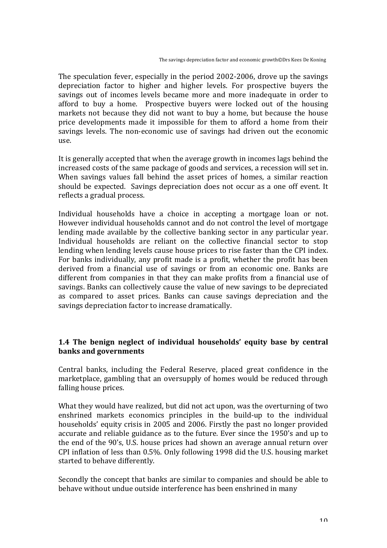The speculation fever, especially in the period 2002-2006, drove up the savings depreciation factor to higher and higher levels. For prospective buyers the savings out of incomes levels became more and more inadequate in order to afford to buy a home. Prospective buyers were locked out of the housing markets not because they did not want to buy a home, but because the house price developments made it impossible for them to afford a home from their savings levels. The non-economic use of savings had driven out the economic use.

It is generally accepted that when the average growth in incomes lags behind the increased costs of the same package of goods and services, a recession will set in. When savings values fall behind the asset prices of homes, a similar reaction should be expected. Savings depreciation does not occur as a one off event. It reflects a gradual process.

Individual households have a choice in accepting a mortgage loan or not. However individual households cannot and do not control the level of mortgage lending made available by the collective banking sector in any particular year. Individual households are reliant on the collective financial sector to stop lending when lending levels cause house prices to rise faster than the CPI index. For banks individually, any profit made is a profit, whether the profit has been derived from a financial use of savings or from an economic one. Banks are different from companies in that they can make profits from a financial use of savings. Banks can collectively cause the value of new savings to be depreciated as compared to asset prices. Banks can cause savings depreciation and the savings depreciation factor to increase dramatically.

# **1.4** The benign neglect of individual households' equity base by central banks and governments

Central banks, including the Federal Reserve, placed great confidence in the marketplace, gambling that an oversupply of homes would be reduced through falling house prices.

What they would have realized, but did not act upon, was the overturning of two enshrined markets economics principles in the build-up to the individual households' equity crisis in 2005 and 2006. Firstly the past no longer provided accurate and reliable guidance as to the future. Ever since the 1950's and up to the end of the 90's, U.S. house prices had shown an average annual return over CPI inflation of less than  $0.5\%$ . Only following 1998 did the U.S. housing market started to behave differently.

Secondly the concept that banks are similar to companies and should be able to behave without undue outside interference has been enshrined in many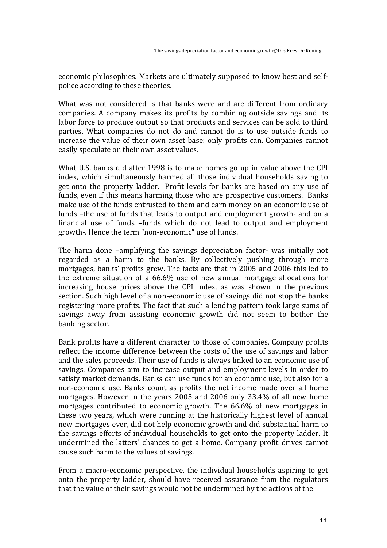economic philosophies. Markets are ultimately supposed to know best and selfpolice according to these theories.

What was not considered is that banks were and are different from ordinary companies. A company makes its profits by combining outside savings and its labor force to produce output so that products and services can be sold to third parties. What companies do not do and cannot do is to use outside funds to increase the value of their own asset base: only profits can. Companies cannot easily speculate on their own asset values.

What U.S. banks did after 1998 is to make homes go up in value above the CPI index, which simultaneously harmed all those individual households saving to get onto the property ladder. Profit levels for banks are based on any use of funds, even if this means harming those who are prospective customers. Banks make use of the funds entrusted to them and earn money on an economic use of funds -the use of funds that leads to output and employment growth- and on a financial use of funds -funds which do not lead to output and employment growth-. Hence the term "non-economic" use of funds.

The harm done -amplifying the savings depreciation factor- was initially not regarded as a harm to the banks. By collectively pushing through more mortgages, banks' profits grew. The facts are that in 2005 and 2006 this led to the extreme situation of a  $66.6\%$  use of new annual mortgage allocations for increasing house prices above the CPI index, as was shown in the previous section. Such high level of a non-economic use of savings did not stop the banks registering more profits. The fact that such a lending pattern took large sums of savings away from assisting economic growth did not seem to bother the banking sector.

Bank profits have a different character to those of companies. Company profits reflect the income difference between the costs of the use of savings and labor and the sales proceeds. Their use of funds is always linked to an economic use of savings. Companies aim to increase output and employment levels in order to satisfy market demands. Banks can use funds for an economic use, but also for a non-economic use. Banks count as profits the net income made over all home mortgages. However in the years 2005 and 2006 only 33.4% of all new home mortgages contributed to economic growth. The 66.6% of new mortgages in these two years, which were running at the historically highest level of annual new mortgages ever, did not help economic growth and did substantial harm to the savings efforts of individual households to get onto the property ladder. It undermined the latters' chances to get a home. Company profit drives cannot cause such harm to the values of savings.

From a macro-economic perspective, the individual households aspiring to get onto the property ladder, should have received assurance from the regulators that the value of their savings would not be undermined by the actions of the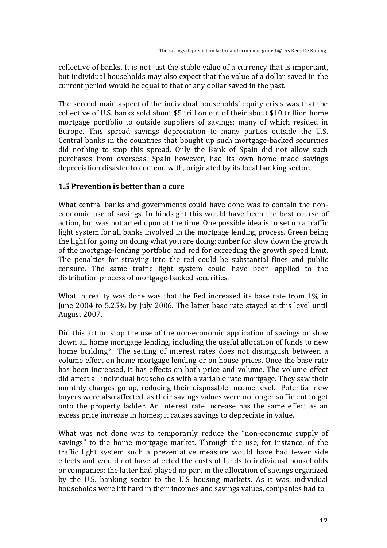collective of banks. It is not just the stable value of a currency that is important, but individual households may also expect that the value of a dollar saved in the current period would be equal to that of any dollar saved in the past.

The second main aspect of the individual households' equity crisis was that the collective of U.S. banks sold about \$5 trillion out of their about \$10 trillion home mortgage portfolio to outside suppliers of savings; many of which resided in Europe. This spread savings depreciation to many parties outside the U.S. Central banks in the countries that bought up such mortgage-backed securities did nothing to stop this spread. Only the Bank of Spain did not allow such purchases from overseas. Spain however, had its own home made savings depreciation disaster to contend with, originated by its local banking sector.

#### **1.5 Prevention is better than a cure**

What central banks and governments could have done was to contain the noneconomic use of savings. In hindsight this would have been the best course of action, but was not acted upon at the time. One possible idea is to set up a traffic light system for all banks involved in the mortgage lending process. Green being the light for going on doing what you are doing; amber for slow down the growth of the mortgage-lending portfolio and red for exceeding the growth speed limit. The penalties for straying into the red could be substantial fines and public censure. The same traffic light system could have been applied to the distribution process of mortgage-backed securities.

What in reality was done was that the Fed increased its base rate from 1% in June 2004 to 5.25% by July 2006. The latter base rate stayed at this level until August 
 2007. 

Did this action stop the use of the non-economic application of savings or slow down all home mortgage lending, including the useful allocation of funds to new home building? The setting of interest rates does not distinguish between a volume effect on home mortgage lending or on house prices. Once the base rate has been increased, it has effects on both price and volume. The volume effect did affect all individual households with a variable rate mortgage. They saw their monthly charges go up, reducing their disposable income level. Potential new buyers were also affected, as their savings values were no longer sufficient to get onto the property ladder. An interest rate increase has the same effect as an excess price increase in homes; it causes savings to depreciate in value.

What was not done was to temporarily reduce the "non-economic supply of savings" to the home mortgage market. Through the use, for instance, of the traffic light system such a preventative measure would have had fewer side effects and would not have affected the costs of funds to individual households or companies; the latter had played no part in the allocation of savings organized by the U.S. banking sector to the U.S housing markets. As it was, individual households were hit hard in their incomes and savings values, companies had to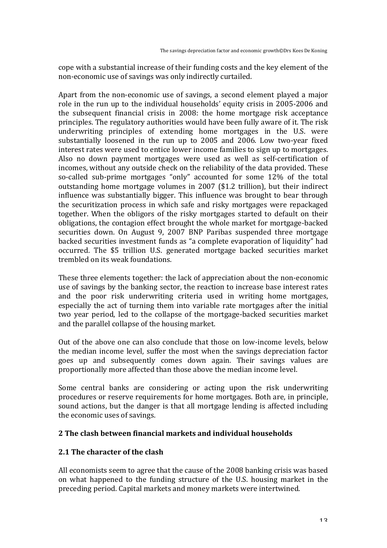cope with a substantial increase of their funding costs and the key element of the non-economic use of savings was only indirectly curtailed.

Apart from the non-economic use of savings, a second element played a major role in the run up to the individual households' equity crisis in 2005-2006 and the subsequent financial crisis in 2008: the home mortgage risk acceptance principles. The regulatory authorities would have been fully aware of it. The risk underwriting principles of extending home mortgages in the U.S. were substantially loosened in the run up to  $2005$  and  $2006$ . Low two-vear fixed interest rates were used to entice lower income families to sign up to mortgages. Also no down payment mortgages were used as well as self-certification of incomes, without any outside check on the reliability of the data provided. These so-called sub-prime mortgages "only" accounted for some 12% of the total outstanding home mortgage volumes in 2007 (\$1.2 trillion), but their indirect influence was substantially bigger. This influence was brought to bear through the securitization process in which safe and risky mortgages were repackaged together. When the obligors of the risky mortgages started to default on their obligations, the contagion effect brought the whole market for mortgage-backed securities down. On August 9, 2007 BNP Paribas suspended three mortgage backed securities investment funds as "a complete evaporation of liquidity" had occurred. The \$5 trillion U.S. generated mortgage backed securities market trembled on its weak foundations.

These three elements together: the lack of appreciation about the non-economic use of savings by the banking sector, the reaction to increase base interest rates and the poor risk underwriting criteria used in writing home mortgages, especially the act of turning them into variable rate mortgages after the initial two year period, led to the collapse of the mortgage-backed securities market and the parallel collapse of the housing market.

Out of the above one can also conclude that those on low-income levels, below the median income level, suffer the most when the savings depreciation factor goes up and subsequently comes down again. Their savings values are proportionally more affected than those above the median income level.

Some central banks are considering or acting upon the risk underwriting procedures or reserve requirements for home mortgages. Both are, in principle, sound actions, but the danger is that all mortgage lending is affected including the economic uses of savings.

# 2 The clash between financial markets and individual households

# 2.1 The character of the clash

All economists seem to agree that the cause of the 2008 banking crisis was based on what happened to the funding structure of the U.S. housing market in the preceding period. Capital markets and money markets were intertwined.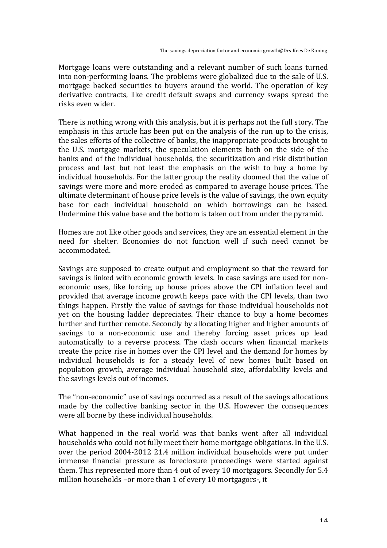Mortgage loans were outstanding and a relevant number of such loans turned into non-performing loans. The problems were globalized due to the sale of U.S. mortgage backed securities to buyers around the world. The operation of key derivative contracts, like credit default swaps and currency swaps spread the risks even wider.

There is nothing wrong with this analysis, but it is perhaps not the full story. The emphasis in this article has been put on the analysis of the run up to the crisis, the sales efforts of the collective of banks, the inappropriate products brought to the U.S. mortgage markets, the speculation elements both on the side of the banks and of the individual households, the securitization and risk distribution process and last but not least the emphasis on the wish to buy a home by individual households. For the latter group the reality doomed that the value of savings were more and more eroded as compared to average house prices. The ultimate determinant of house price levels is the value of savings, the own equity base for each individual household on which borrowings can be based. Undermine this value base and the bottom is taken out from under the pyramid.

Homes are not like other goods and services, they are an essential element in the need for shelter. Economies do not function well if such need cannot be accommodated. 

Savings are supposed to create output and employment so that the reward for savings is linked with economic growth levels. In case savings are used for noneconomic uses, like forcing up house prices above the CPI inflation level and provided that average income growth keeps pace with the CPI levels, than two things happen. Firstly the value of savings for those individual households not yet on the housing ladder depreciates. Their chance to buy a home becomes further and further remote. Secondly by allocating higher and higher amounts of savings to a non-economic use and thereby forcing asset prices up lead automatically to a reverse process. The clash occurs when financial markets create the price rise in homes over the CPI level and the demand for homes by individual households is for a steady level of new homes built based on population growth, average individual household size, affordability levels and the savings levels out of incomes.

The "non-economic" use of savings occurred as a result of the savings allocations made by the collective banking sector in the U.S. However the consequences were all borne by these individual households.

What happened in the real world was that banks went after all individual households who could not fully meet their home mortgage obligations. In the U.S. over the period 2004-2012 21.4 million individual households were put under immense financial pressure as foreclosure proceedings were started against them. This represented more than 4 out of every 10 mortgagors. Secondly for 5.4 million households -or more than 1 of every 10 mortgagors-, it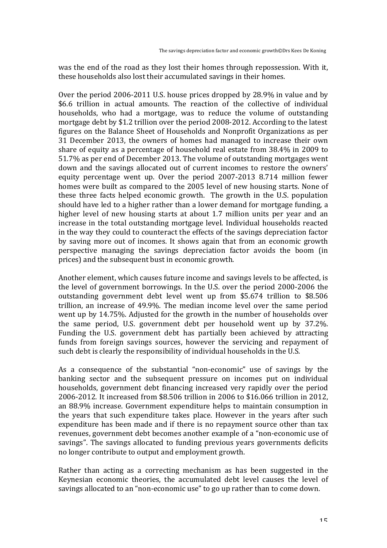was the end of the road as they lost their homes through repossession. With it, these households also lost their accumulated savings in their homes.

Over the period  $2006-2011$  U.S. house prices dropped by  $28.9\%$  in value and by \$6.6 trillion in actual amounts. The reaction of the collective of individual households, who had a mortgage, was to reduce the volume of outstanding mortgage debt by \$1.2 trillion over the period 2008-2012. According to the latest figures on the Balance Sheet of Households and Nonprofit Organizations as per 31 December 2013, the owners of homes had managed to increase their own share of equity as a percentage of household real estate from  $38.4\%$  in 2009 to 51.7% as per end of December 2013. The volume of outstanding mortgages went down and the savings allocated out of current incomes to restore the owners' equity percentage went up. Over the period  $2007-2013$  8.714 million fewer homes were built as compared to the 2005 level of new housing starts. None of these three facts helped economic growth. The growth in the U.S. population should have led to a higher rather than a lower demand for mortgage funding, a higher level of new housing starts at about 1.7 million units per vear and an increase in the total outstanding mortgage level. Individual households reacted in the way they could to counteract the effects of the savings depreciation factor by saving more out of incomes. It shows again that from an economic growth perspective managing the savings depreciation factor avoids the boom (in prices) and the subsequent bust in economic growth.

Another element, which causes future income and savings levels to be affected, is the level of government borrowings. In the U.S. over the period 2000-2006 the outstanding government debt level went up from \$5.674 trillion to \$8.506 trillion, an increase of 49.9%. The median income level over the same period went up by 14.75%. Adjusted for the growth in the number of households over the same period, U.S. government debt per household went up by 37.2%. Funding the U.S. government debt has partially been achieved by attracting funds from foreign savings sources, however the servicing and repayment of such debt is clearly the responsibility of individual households in the U.S.

As a consequence of the substantial "non-economic" use of savings by the banking sector and the subsequent pressure on incomes put on individual households, government debt financing increased very rapidly over the period 2006-2012. It increased from \$8.506 trillion in 2006 to \$16.066 trillion in 2012, an 88.9% increase. Government expenditure helps to maintain consumption in the years that such expenditure takes place. However in the years after such expenditure has been made and if there is no repayment source other than tax revenues, government debt becomes another example of a "non-economic use of savings". The savings allocated to funding previous years governments deficits no longer contribute to output and employment growth.

Rather than acting as a correcting mechanism as has been suggested in the Keynesian economic theories, the accumulated debt level causes the level of savings allocated to an "non-economic use" to go up rather than to come down.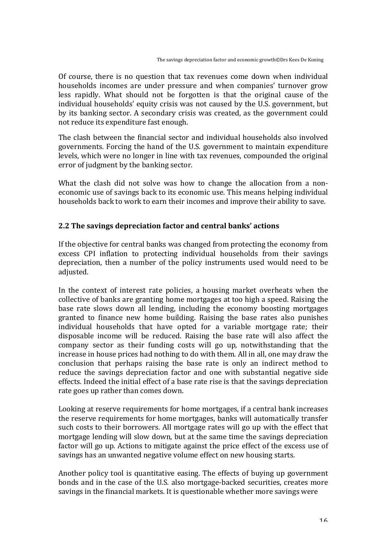Of course, there is no question that tax revenues come down when individual households incomes are under pressure and when companies' turnover grow less rapidly. What should not be forgotten is that the original cause of the individual households' equity crisis was not caused by the U.S. government, but by its banking sector. A secondary crisis was created, as the government could not reduce its expenditure fast enough.

The clash between the financial sector and individual households also involved governments. Forcing the hand of the U.S. government to maintain expenditure levels, which were no longer in line with tax revenues, compounded the original error of judgment by the banking sector.

What the clash did not solve was how to change the allocation from a noneconomic use of savings back to its economic use. This means helping individual households back to work to earn their incomes and improve their ability to save.

# 2.2 The savings depreciation factor and central banks' actions

If the objective for central banks was changed from protecting the economy from excess CPI inflation to protecting individual households from their savings depreciation, then a number of the policy instruments used would need to be adjusted.

In the context of interest rate policies, a housing market overheats when the collective of banks are granting home mortgages at too high a speed. Raising the base rate slows down all lending, including the economy boosting mortgages granted to finance new home building. Raising the base rates also punishes individual households that have opted for a variable mortgage rate; their disposable income will be reduced. Raising the base rate will also affect the company sector as their funding costs will go up, notwithstanding that the increase in house prices had nothing to do with them. All in all, one may draw the conclusion that perhaps raising the base rate is only an indirect method to reduce the savings depreciation factor and one with substantial negative side effects. Indeed the initial effect of a base rate rise is that the savings depreciation rate goes up rather than comes down.

Looking at reserve requirements for home mortgages, if a central bank increases the reserve requirements for home mortgages, banks will automatically transfer such costs to their borrowers. All mortgage rates will go up with the effect that mortgage lending will slow down, but at the same time the savings depreciation factor will go up. Actions to mitigate against the price effect of the excess use of savings has an unwanted negative volume effect on new housing starts.

Another policy tool is quantitative easing. The effects of buying up government bonds and in the case of the U.S. also mortgage-backed securities, creates more savings in the financial markets. It is questionable whether more savings were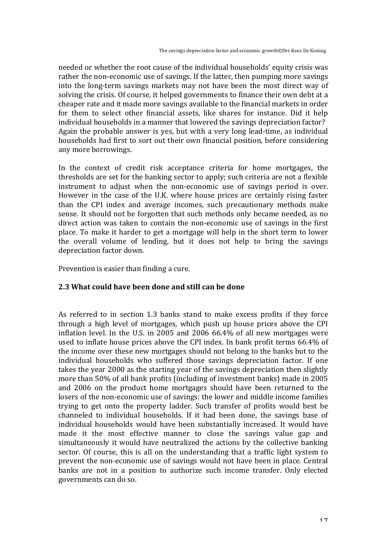needed or whether the root cause of the individual households' equity crisis was rather the non-economic use of savings. If the latter, then pumping more savings into the long-term savings markets may not have been the most direct way of solving the crisis. Of course, it helped governments to finance their own debt at a cheaper rate and it made more savings available to the financial markets in order for them to select other financial assets, like shares for instance. Did it help individual households in a manner that lowered the savings depreciation factor? Again the probable answer is yes, but with a very long lead-time, as individual households had first to sort out their own financial position, before considering any more borrowings.

In the context of credit risk acceptance criteria for home mortgages, the thresholds are set for the banking sector to apply; such criteria are not a flexible instrument to adjust when the non-economic use of savings period is over. However in the case of the U.K. where house prices are certainly rising faster than the CPI index and average incomes, such precautionary methods make sense. It should not be forgotten that such methods only became needed, as no direct action was taken to contain the non-economic use of savings in the first place. To make it harder to get a mortgage will help in the short term to lower the overall volume of lending, but it does not help to bring the savings depreciation factor down.

Prevention is easier than finding a cure.

#### 2.3 What could have been done and still can be done

As referred to in section 1.3 banks stand to make excess profits if they force through a high level of mortgages, which push up house prices above the CPI inflation level. In the U.S. in 2005 and 2006  $66.4\%$  of all new mortgages were used to inflate house prices above the CPI index. In bank profit terms  $66.4\%$  of the income over these new mortgages should not belong to the banks but to the individual households who suffered those savings depreciation factor. If one takes the year 2000 as the starting year of the savings depreciation then slightly more than 50% of all bank profits (including of investment banks) made in 2005 and 2006 on the product home mortgages should have been returned to the losers of the non-economic use of savings: the lower and middle income families trying to get onto the property ladder. Such transfer of profits would best be channeled to individual households. If it had been done, the savings base of individual households would have been substantially increased. It would have made it the most effective manner to close the savings value gap and simultaneously it would have neutralized the actions by the collective banking sector. Of course, this is all on the understanding that a traffic light system to prevent the non-economic use of savings would not have been in place. Central banks are not in a position to authorize such income transfer. Only elected governments can do so.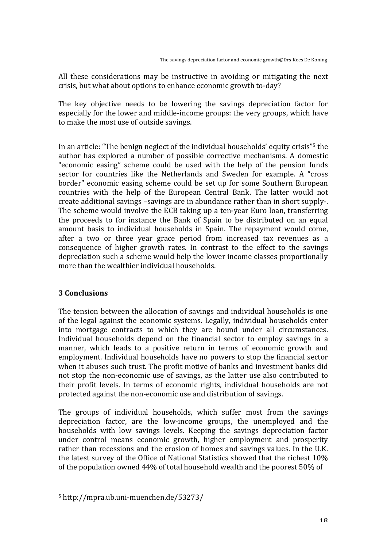All these considerations may be instructive in avoiding or mitigating the next crisis, but what about options to enhance economic growth to-day?

The key objective needs to be lowering the savings depreciation factor for especially for the lower and middle-income groups: the very groups, which have to make the most use of outside savings.

In an article: "The benign neglect of the individual households' equity crisis"<sup>5</sup> the author has explored a number of possible corrective mechanisms. A domestic "economic easing" scheme could be used with the help of the pension funds sector for countries like the Netherlands and Sweden for example. A "cross border" economic easing scheme could be set up for some Southern European countries with the help of the European Central Bank. The latter would not create additional savings -savings are in abundance rather than in short supply-. The scheme would involve the ECB taking up a ten-year Euro loan, transferring the proceeds to for instance the Bank of Spain to be distributed on an equal amount basis to individual households in Spain. The repayment would come, after a two or three year grace period from increased tax revenues as a consequence of higher growth rates. In contrast to the effect to the savings depreciation such a scheme would help the lower income classes proportionally more than the wealthier individual households.

# **3** Conclusions

The tension between the allocation of savings and individual households is one of the legal against the economic systems. Legally, individual households enter into mortgage contracts to which they are bound under all circumstances. Individual households depend on the financial sector to employ savings in a manner, which leads to a positive return in terms of economic growth and employment. Individual households have no powers to stop the financial sector when it abuses such trust. The profit motive of banks and investment banks did not stop the non-economic use of savings, as the latter use also contributed to their profit levels. In terms of economic rights, individual households are not protected against the non-economic use and distribution of savings.

The groups of individual households, which suffer most from the savings depreciation factor, are the low-income groups, the unemployed and the households with low savings levels. Keeping the savings depreciation factor under control means economic growth, higher employment and prosperity rather than recessions and the erosion of homes and savings values. In the U.K. the latest survey of the Office of National Statistics showed that the richest 10% of the population owned 44% of total household wealth and the poorest 50% of

<sup>&</sup>lt;sup>5</sup> http://mpra.ub.uni-muenchen.de/53273/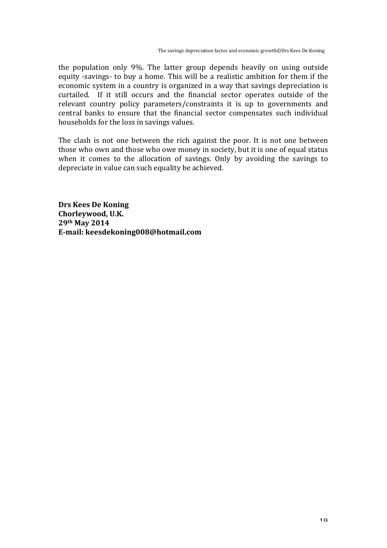the population only 9%. The latter group depends heavily on using outside equity -savings- to buy a home. This will be a realistic ambition for them if the economic system in a country is organized in a way that savings depreciation is curtailed. If it still occurs and the financial sector operates outside of the relevant country policy parameters/constraints it is up to governments and central banks to ensure that the financial sector compensates such individual households for the loss in savings values.

The clash is not one between the rich against the poor. It is not one between those who own and those who owe money in society, but it is one of equal status when it comes to the allocation of savings. Only by avoiding the savings to depreciate in value can such equality be achieved.

**Drs Kees De Koning** Chorleywood, U.K. **29th May 2014** E-mail: keesdekoning008@hotmail.com